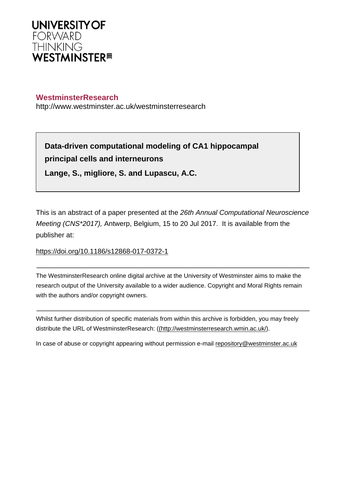

## **WestminsterResearch**

http://www.westminster.ac.uk/westminsterresearch

**Data-driven computational modeling of CA1 hippocampal principal cells and interneurons**

**Lange, S., migliore, S. and Lupascu, A.C.**

This is an abstract of a paper presented at the 26th Annual Computational Neuroscience Meeting (CNS\*2017), Antwerp, Belgium, 15 to 20 Jul 2017. It is available from the publisher at:

<https://doi.org/10.1186/s12868-017-0372-1>

The WestminsterResearch online digital archive at the University of Westminster aims to make the research output of the University available to a wider audience. Copyright and Moral Rights remain with the authors and/or copyright owners.

Whilst further distribution of specific materials from within this archive is forbidden, you may freely distribute the URL of WestminsterResearch: [\(\(http://westminsterresearch.wmin.ac.uk/](http://westminsterresearch.wmin.ac.uk/)).

In case of abuse or copyright appearing without permission e-mail <repository@westminster.ac.uk>